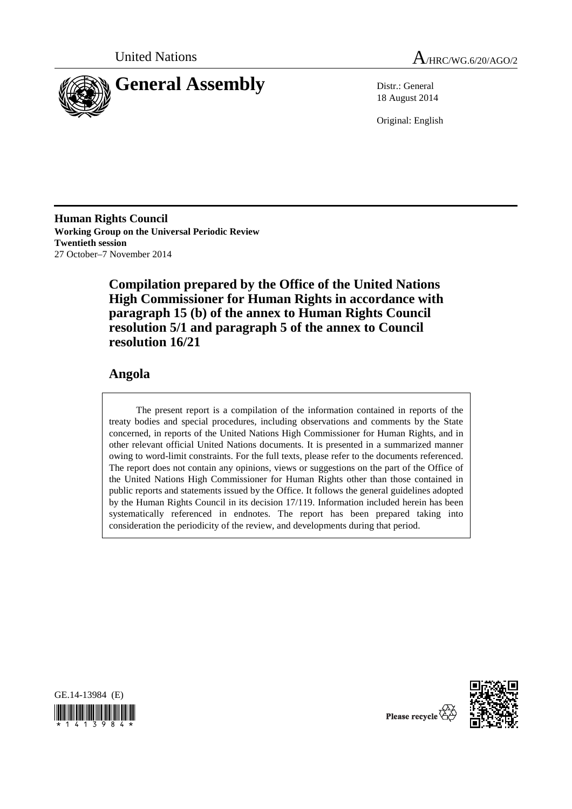



18 August 2014

Original: English

**Human Rights Council Working Group on the Universal Periodic Review Twentieth session**  27 October–7 November 2014

> **Compilation prepared by the Office of the United Nations High Commissioner for Human Rights in accordance with paragraph 15 (b) of the annex to Human Rights Council resolution 5/1 and paragraph 5 of the annex to Council resolution 16/21**

# **Angola**

The present report is a compilation of the information contained in reports of the treaty bodies and special procedures, including observations and comments by the State concerned, in reports of the United Nations High Commissioner for Human Rights, and in other relevant official United Nations documents. It is presented in a summarized manner owing to word-limit constraints. For the full texts, please refer to the documents referenced. The report does not contain any opinions, views or suggestions on the part of the Office of the United Nations High Commissioner for Human Rights other than those contained in public reports and statements issued by the Office. It follows the general guidelines adopted by the Human Rights Council in its decision 17/119. Information included herein has been systematically referenced in endnotes. The report has been prepared taking into consideration the periodicity of the review, and developments during that period.





Please recycle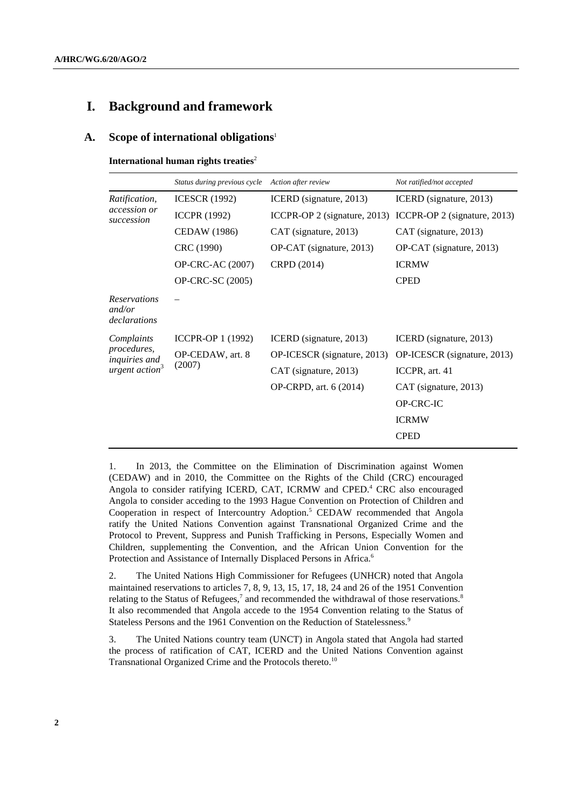## **I. Background and framework**

#### **A. Scope of international obligations**<sup>1</sup>

**International human rights treaties**<sup>2</sup>

|                                                                                 | Status during previous cycle | Action after review          | Not ratified/not accepted    |
|---------------------------------------------------------------------------------|------------------------------|------------------------------|------------------------------|
| <i>Ratification,</i><br>accession or<br>succession                              | <b>ICESCR</b> (1992)         | ICERD (signature, 2013)      | ICERD (signature, 2013)      |
|                                                                                 | <b>ICCPR (1992)</b>          | ICCPR-OP 2 (signature, 2013) | ICCPR-OP 2 (signature, 2013) |
|                                                                                 | CEDAW (1986)                 | CAT (signature, 2013)        | CAT (signature, 2013)        |
|                                                                                 | CRC (1990)                   | OP-CAT (signature, 2013)     | OP-CAT (signature, 2013)     |
|                                                                                 | <b>OP-CRC-AC (2007)</b>      | CRPD (2014)                  | <b>ICRMW</b>                 |
|                                                                                 | <b>OP-CRC-SC (2005)</b>      |                              | <b>CPED</b>                  |
| <b>Reservations</b><br>and/or<br>declarations                                   |                              |                              |                              |
| Complaints<br>procedures,<br><i>inquiries and</i><br>urgent action <sup>3</sup> | ICCPR-OP 1 (1992)            | ICERD (signature, 2013)      | ICERD (signature, 2013)      |
|                                                                                 | OP-CEDAW, art. 8<br>(2007)   | OP-ICESCR (signature, 2013)  | OP-ICESCR (signature, 2013)  |
|                                                                                 |                              | CAT (signature, 2013)        | ICCPR, art. 41               |
|                                                                                 |                              | OP-CRPD, art. 6 (2014)       | CAT (signature, 2013)        |
|                                                                                 |                              |                              | <b>OP-CRC-IC</b>             |
|                                                                                 |                              |                              | <b>ICRMW</b>                 |
|                                                                                 |                              |                              | <b>CPED</b>                  |

1. In 2013, the Committee on the Elimination of Discrimination against Women (CEDAW) and in 2010, the Committee on the Rights of the Child (CRC) encouraged Angola to consider ratifying ICERD, CAT, ICRMW and CPED.<sup>4</sup> CRC also encouraged Angola to consider acceding to the 1993 Hague Convention on Protection of Children and Cooperation in respect of Intercountry Adoption.<sup>5</sup> CEDAW recommended that Angola ratify the United Nations Convention against Transnational Organized Crime and the Protocol to Prevent, Suppress and Punish Trafficking in Persons, Especially Women and Children, supplementing the Convention, and the African Union Convention for the Protection and Assistance of Internally Displaced Persons in Africa.<sup>6</sup>

2. The United Nations High Commissioner for Refugees (UNHCR) noted that Angola maintained reservations to articles 7, 8, 9, 13, 15, 17, 18, 24 and 26 of the 1951 Convention relating to the Status of Refugees,<sup>7</sup> and recommended the withdrawal of those reservations.<sup>8</sup> It also recommended that Angola accede to the 1954 Convention relating to the Status of Stateless Persons and the 1961 Convention on the Reduction of Statelessness.<sup>9</sup>

3. The United Nations country team (UNCT) in Angola stated that Angola had started the process of ratification of CAT, ICERD and the United Nations Convention against Transnational Organized Crime and the Protocols thereto.<sup>10</sup>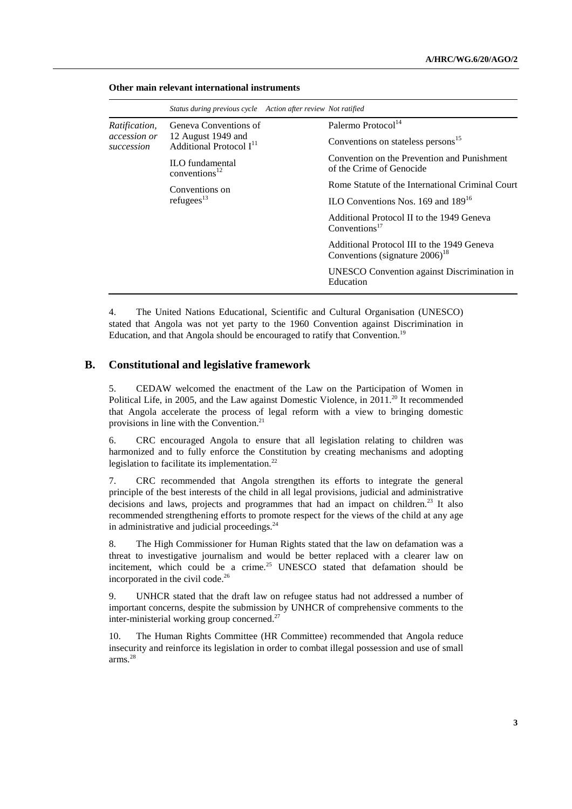|                            | Status during previous cycle Action after review Not ratified |  |                                                                                             |
|----------------------------|---------------------------------------------------------------|--|---------------------------------------------------------------------------------------------|
| Ratification,              | Geneva Conventions of                                         |  | Palermo Protocol <sup>14</sup>                                                              |
| accession or<br>succession | 12 August 1949 and<br>Additional Protocol $I11$               |  | Conventions on stateless persons <sup>15</sup>                                              |
|                            | <b>ILO</b> fundamental<br>conventions <sup>12</sup>           |  | Convention on the Prevention and Punishment<br>of the Crime of Genocide                     |
|                            | Conventions on                                                |  | Rome Statute of the International Criminal Court                                            |
|                            | refugees $13$                                                 |  | ILO Conventions Nos. 169 and $189^{16}$                                                     |
|                            |                                                               |  | Additional Protocol II to the 1949 Geneva<br>Conventions <sup>17</sup>                      |
|                            |                                                               |  | Additional Protocol III to the 1949 Geneva<br>Conventions (signature $2006$ ) <sup>18</sup> |
|                            |                                                               |  | UNESCO Convention against Discrimination in<br>Education                                    |

#### **Other main relevant international instruments**

4. The United Nations Educational, Scientific and Cultural Organisation (UNESCO) stated that Angola was not yet party to the 1960 Convention against Discrimination in Education, and that Angola should be encouraged to ratify that Convention.<sup>19</sup>

### **B. Constitutional and legislative framework**

5. CEDAW welcomed the enactment of the Law on the Participation of Women in Political Life, in 2005, and the Law against Domestic Violence, in 2011.<sup>20</sup> It recommended that Angola accelerate the process of legal reform with a view to bringing domestic provisions in line with the Convention.21

6. CRC encouraged Angola to ensure that all legislation relating to children was harmonized and to fully enforce the Constitution by creating mechanisms and adopting legislation to facilitate its implementation.<sup>22</sup>

7. CRC recommended that Angola strengthen its efforts to integrate the general principle of the best interests of the child in all legal provisions, judicial and administrative decisions and laws, projects and programmes that had an impact on children.<sup>23</sup> It also recommended strengthening efforts to promote respect for the views of the child at any age in administrative and judicial proceedings.<sup>24</sup>

8. The High Commissioner for Human Rights stated that the law on defamation was a threat to investigative journalism and would be better replaced with a clearer law on incitement, which could be a crime.<sup>25</sup> UNESCO stated that defamation should be incorporated in the civil code.<sup>26</sup>

9. UNHCR stated that the draft law on refugee status had not addressed a number of important concerns, despite the submission by UNHCR of comprehensive comments to the inter-ministerial working group concerned.<sup>27</sup>

10. The Human Rights Committee (HR Committee) recommended that Angola reduce insecurity and reinforce its legislation in order to combat illegal possession and use of small arms.28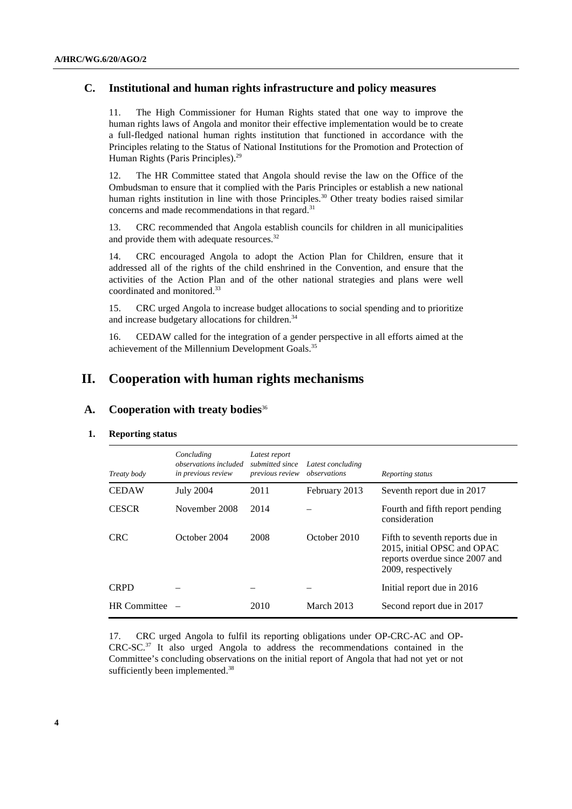## **C. Institutional and human rights infrastructure and policy measures**

11. The High Commissioner for Human Rights stated that one way to improve the human rights laws of Angola and monitor their effective implementation would be to create a full-fledged national human rights institution that functioned in accordance with the Principles relating to the Status of National Institutions for the Promotion and Protection of Human Rights (Paris Principles).<sup>29</sup>

12. The HR Committee stated that Angola should revise the law on the Office of the Ombudsman to ensure that it complied with the Paris Principles or establish a new national human rights institution in line with those Principles.<sup>30</sup> Other treaty bodies raised similar concerns and made recommendations in that regard.<sup>31</sup>

13. CRC recommended that Angola establish councils for children in all municipalities and provide them with adequate resources.<sup>32</sup>

14. CRC encouraged Angola to adopt the Action Plan for Children, ensure that it addressed all of the rights of the child enshrined in the Convention, and ensure that the activities of the Action Plan and of the other national strategies and plans were well coordinated and monitored.33

15. CRC urged Angola to increase budget allocations to social spending and to prioritize and increase budgetary allocations for children.<sup>34</sup>

16. CEDAW called for the integration of a gender perspective in all efforts aimed at the achievement of the Millennium Development Goals.<sup>35</sup>

# **II. Cooperation with human rights mechanisms**

## **A. Cooperation with treaty bodies**<sup>36</sup>

#### **1. Reporting status**

| Treaty body         | Concluding<br><i>observations included</i><br>in previous review | Latest report<br>submitted since<br>previous review | Latest concluding<br>observations | Reporting status                                                                                                       |
|---------------------|------------------------------------------------------------------|-----------------------------------------------------|-----------------------------------|------------------------------------------------------------------------------------------------------------------------|
| <b>CEDAW</b>        | <b>July 2004</b>                                                 | 2011                                                | February 2013                     | Seventh report due in 2017                                                                                             |
| <b>CESCR</b>        | November 2008                                                    | 2014                                                |                                   | Fourth and fifth report pending<br>consideration                                                                       |
| <b>CRC</b>          | October 2004                                                     | 2008                                                | October 2010                      | Fifth to seventh reports due in<br>2015, initial OPSC and OPAC<br>reports overdue since 2007 and<br>2009, respectively |
| <b>CRPD</b>         |                                                                  |                                                     |                                   | Initial report due in 2016                                                                                             |
| <b>HR</b> Committee |                                                                  | 2010                                                | March 2013                        | Second report due in 2017                                                                                              |

17. CRC urged Angola to fulfil its reporting obligations under OP-CRC-AC and OP-CRC-SC.37 It also urged Angola to address the recommendations contained in the Committee's concluding observations on the initial report of Angola that had not yet or not sufficiently been implemented.<sup>38</sup>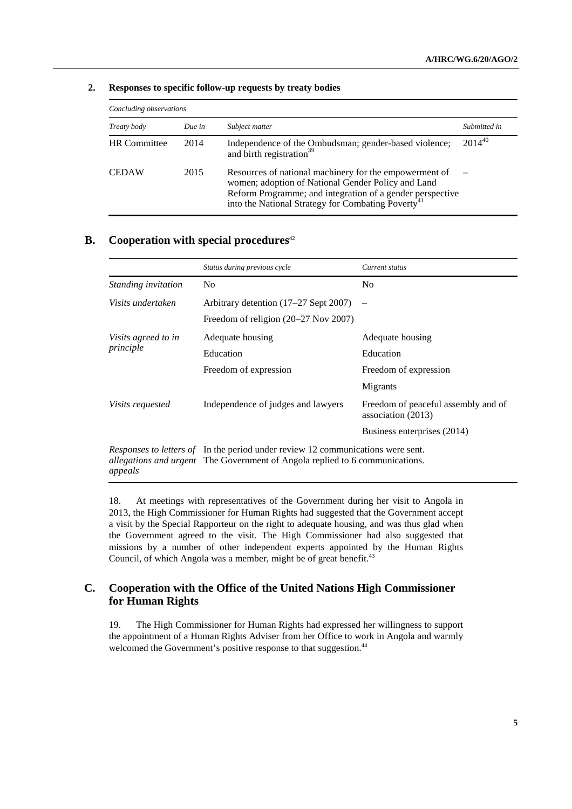| Concluding observations |        |                                                                                                                                                                                                                                             |              |
|-------------------------|--------|---------------------------------------------------------------------------------------------------------------------------------------------------------------------------------------------------------------------------------------------|--------------|
| Treaty body             | Due in | Subject matter                                                                                                                                                                                                                              | Submitted in |
| <b>HR</b> Committee     | 2014   | Independence of the Ombudsman; gender-based violence;<br>and birth registration <sup>39</sup>                                                                                                                                               | $2014^{40}$  |
| <b>CEDAW</b>            | 2015   | Resources of national machinery for the empowerment of<br>women; adoption of National Gender Policy and Land<br>Reform Programme; and integration of a gender perspective<br>into the National Strategy for Combating Poverty <sup>41</sup> |              |

#### **2. Responses to specific follow-up requests by treaty bodies**

## **B.** Cooperation with special procedures<sup>42</sup>

|                            | Status during previous cycle                                                                                                                                           | Current status                                            |
|----------------------------|------------------------------------------------------------------------------------------------------------------------------------------------------------------------|-----------------------------------------------------------|
| <i>Standing invitation</i> | N <sub>0</sub>                                                                                                                                                         | No                                                        |
| Visits undertaken          | Arbitrary detention $(17–27$ Sept 2007)                                                                                                                                |                                                           |
|                            | Freedom of religion $(20-27$ Nov $2007)$                                                                                                                               |                                                           |
| Visits agreed to in        | Adequate housing                                                                                                                                                       | Adequate housing                                          |
| principle                  | Education                                                                                                                                                              | Education                                                 |
|                            | Freedom of expression                                                                                                                                                  | Freedom of expression                                     |
|                            |                                                                                                                                                                        | Migrants                                                  |
| <i>Visits requested</i>    | Independence of judges and lawyers                                                                                                                                     | Freedom of peaceful assembly and of<br>association (2013) |
|                            |                                                                                                                                                                        | Business enterprises (2014)                               |
| appeals                    | Responses to letters of In the period under review 12 communications were sent.<br><i>allegations and urgent</i> The Government of Angola replied to 6 communications. |                                                           |

18. At meetings with representatives of the Government during her visit to Angola in 2013, the High Commissioner for Human Rights had suggested that the Government accept a visit by the Special Rapporteur on the right to adequate housing, and was thus glad when the Government agreed to the visit. The High Commissioner had also suggested that missions by a number of other independent experts appointed by the Human Rights Council, of which Angola was a member, might be of great benefit.<sup>43</sup>

# **C. Cooperation with the Office of the United Nations High Commissioner for Human Rights**

19. The High Commissioner for Human Rights had expressed her willingness to support the appointment of a Human Rights Adviser from her Office to work in Angola and warmly welcomed the Government's positive response to that suggestion.<sup>44</sup>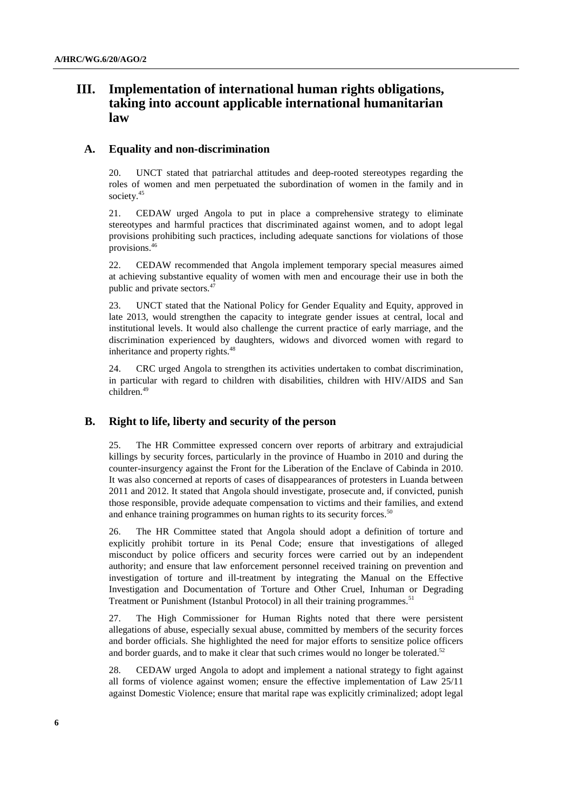# **III. Implementation of international human rights obligations, taking into account applicable international humanitarian law**

#### **A. Equality and non-discrimination**

20. UNCT stated that patriarchal attitudes and deep-rooted stereotypes regarding the roles of women and men perpetuated the subordination of women in the family and in society.<sup>45</sup>

21. CEDAW urged Angola to put in place a comprehensive strategy to eliminate stereotypes and harmful practices that discriminated against women, and to adopt legal provisions prohibiting such practices, including adequate sanctions for violations of those provisions.46

22. CEDAW recommended that Angola implement temporary special measures aimed at achieving substantive equality of women with men and encourage their use in both the public and private sectors.<sup>47</sup>

23. UNCT stated that the National Policy for Gender Equality and Equity, approved in late 2013, would strengthen the capacity to integrate gender issues at central, local and institutional levels. It would also challenge the current practice of early marriage, and the discrimination experienced by daughters, widows and divorced women with regard to inheritance and property rights.<sup>48</sup>

24. CRC urged Angola to strengthen its activities undertaken to combat discrimination, in particular with regard to children with disabilities, children with HIV/AIDS and San children.49

## **B. Right to life, liberty and security of the person**

25. The HR Committee expressed concern over reports of arbitrary and extrajudicial killings by security forces, particularly in the province of Huambo in 2010 and during the counter-insurgency against the Front for the Liberation of the Enclave of Cabinda in 2010. It was also concerned at reports of cases of disappearances of protesters in Luanda between 2011 and 2012. It stated that Angola should investigate, prosecute and, if convicted, punish those responsible, provide adequate compensation to victims and their families, and extend and enhance training programmes on human rights to its security forces.<sup>50</sup>

26. The HR Committee stated that Angola should adopt a definition of torture and explicitly prohibit torture in its Penal Code; ensure that investigations of alleged misconduct by police officers and security forces were carried out by an independent authority; and ensure that law enforcement personnel received training on prevention and investigation of torture and ill-treatment by integrating the Manual on the Effective Investigation and Documentation of Torture and Other Cruel, Inhuman or Degrading Treatment or Punishment (Istanbul Protocol) in all their training programmes.<sup>51</sup>

27. The High Commissioner for Human Rights noted that there were persistent allegations of abuse, especially sexual abuse, committed by members of the security forces and border officials. She highlighted the need for major efforts to sensitize police officers and border guards, and to make it clear that such crimes would no longer be tolerated.<sup>52</sup>

28. CEDAW urged Angola to adopt and implement a national strategy to fight against all forms of violence against women; ensure the effective implementation of Law 25/11 against Domestic Violence; ensure that marital rape was explicitly criminalized; adopt legal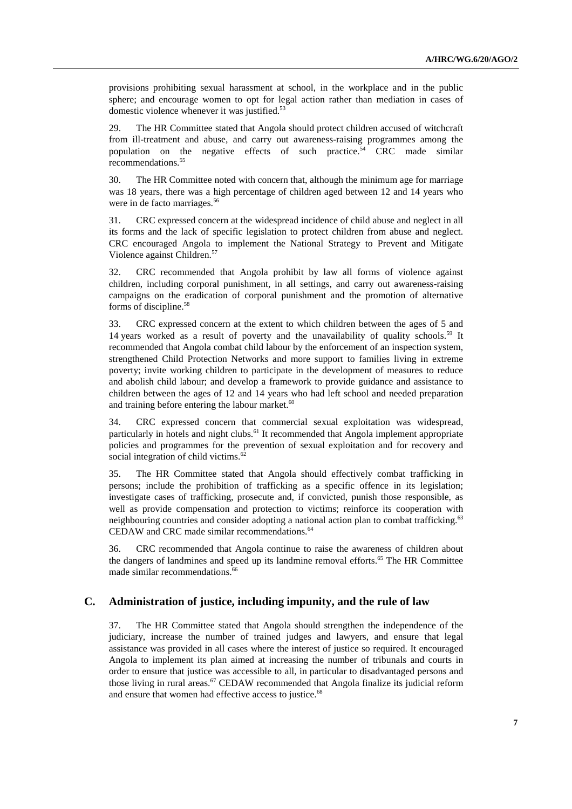provisions prohibiting sexual harassment at school, in the workplace and in the public sphere; and encourage women to opt for legal action rather than mediation in cases of domestic violence whenever it was justified.<sup>53</sup>

29. The HR Committee stated that Angola should protect children accused of witchcraft from ill-treatment and abuse, and carry out awareness-raising programmes among the population on the negative effects of such practice.<sup>54</sup> CRC made similar recommendations.<sup>55</sup>

30. The HR Committee noted with concern that, although the minimum age for marriage was 18 years, there was a high percentage of children aged between 12 and 14 years who were in de facto marriages.<sup>56</sup>

31. CRC expressed concern at the widespread incidence of child abuse and neglect in all its forms and the lack of specific legislation to protect children from abuse and neglect. CRC encouraged Angola to implement the National Strategy to Prevent and Mitigate Violence against Children.57

32. CRC recommended that Angola prohibit by law all forms of violence against children, including corporal punishment, in all settings, and carry out awareness-raising campaigns on the eradication of corporal punishment and the promotion of alternative forms of discipline.<sup>58</sup>

33. CRC expressed concern at the extent to which children between the ages of 5 and 14 years worked as a result of poverty and the unavailability of quality schools.<sup>59</sup> It recommended that Angola combat child labour by the enforcement of an inspection system, strengthened Child Protection Networks and more support to families living in extreme poverty; invite working children to participate in the development of measures to reduce and abolish child labour; and develop a framework to provide guidance and assistance to children between the ages of 12 and 14 years who had left school and needed preparation and training before entering the labour market.<sup>60</sup>

34. CRC expressed concern that commercial sexual exploitation was widespread, particularly in hotels and night clubs.<sup>61</sup> It recommended that Angola implement appropriate policies and programmes for the prevention of sexual exploitation and for recovery and social integration of child victims.<sup>62</sup>

35. The HR Committee stated that Angola should effectively combat trafficking in persons; include the prohibition of trafficking as a specific offence in its legislation; investigate cases of trafficking, prosecute and, if convicted, punish those responsible, as well as provide compensation and protection to victims; reinforce its cooperation with neighbouring countries and consider adopting a national action plan to combat trafficking.<sup>63</sup> CEDAW and CRC made similar recommendations.<sup>64</sup>

36. CRC recommended that Angola continue to raise the awareness of children about the dangers of landmines and speed up its landmine removal efforts.<sup>65</sup> The HR Committee made similar recommendations.<sup>66</sup>

## **C. Administration of justice, including impunity, and the rule of law**

37. The HR Committee stated that Angola should strengthen the independence of the judiciary, increase the number of trained judges and lawyers, and ensure that legal assistance was provided in all cases where the interest of justice so required. It encouraged Angola to implement its plan aimed at increasing the number of tribunals and courts in order to ensure that justice was accessible to all, in particular to disadvantaged persons and those living in rural areas.<sup>67</sup> CEDAW recommended that Angola finalize its judicial reform and ensure that women had effective access to justice.<sup>68</sup>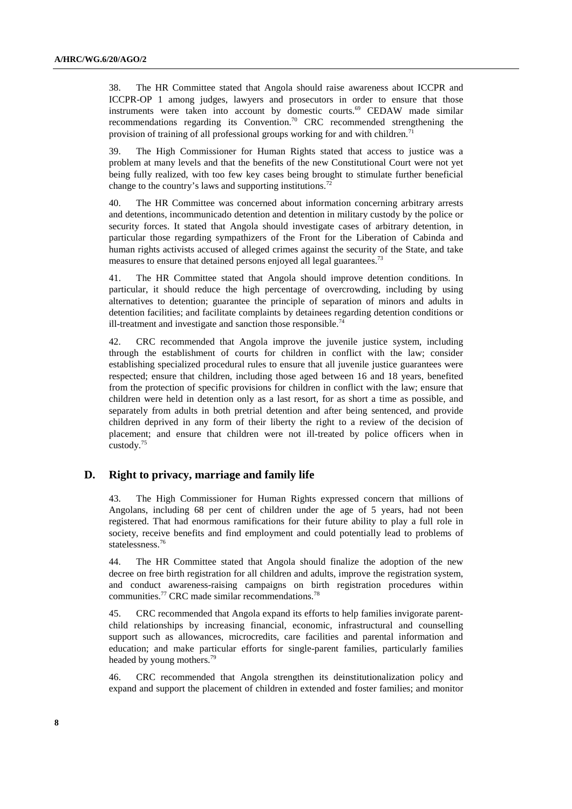38. The HR Committee stated that Angola should raise awareness about ICCPR and ICCPR-OP 1 among judges, lawyers and prosecutors in order to ensure that those instruments were taken into account by domestic courts.<sup>69</sup> CEDAW made similar recommendations regarding its Convention.<sup>70</sup> CRC recommended strengthening the provision of training of all professional groups working for and with children.<sup>71</sup>

39. The High Commissioner for Human Rights stated that access to justice was a problem at many levels and that the benefits of the new Constitutional Court were not yet being fully realized, with too few key cases being brought to stimulate further beneficial change to the country's laws and supporting institutions.<sup>72</sup>

40. The HR Committee was concerned about information concerning arbitrary arrests and detentions, incommunicado detention and detention in military custody by the police or security forces. It stated that Angola should investigate cases of arbitrary detention, in particular those regarding sympathizers of the Front for the Liberation of Cabinda and human rights activists accused of alleged crimes against the security of the State, and take measures to ensure that detained persons enjoyed all legal guarantees.<sup>73</sup>

41. The HR Committee stated that Angola should improve detention conditions. In particular, it should reduce the high percentage of overcrowding, including by using alternatives to detention; guarantee the principle of separation of minors and adults in detention facilities; and facilitate complaints by detainees regarding detention conditions or ill-treatment and investigate and sanction those responsible.<sup>74</sup>

42. CRC recommended that Angola improve the juvenile justice system, including through the establishment of courts for children in conflict with the law; consider establishing specialized procedural rules to ensure that all juvenile justice guarantees were respected; ensure that children, including those aged between 16 and 18 years, benefited from the protection of specific provisions for children in conflict with the law; ensure that children were held in detention only as a last resort, for as short a time as possible, and separately from adults in both pretrial detention and after being sentenced, and provide children deprived in any form of their liberty the right to a review of the decision of placement; and ensure that children were not ill-treated by police officers when in custody.75

#### **D. Right to privacy, marriage and family life**

43. The High Commissioner for Human Rights expressed concern that millions of Angolans, including 68 per cent of children under the age of 5 years, had not been registered. That had enormous ramifications for their future ability to play a full role in society, receive benefits and find employment and could potentially lead to problems of statelessness.76

44. The HR Committee stated that Angola should finalize the adoption of the new decree on free birth registration for all children and adults, improve the registration system, and conduct awareness-raising campaigns on birth registration procedures within communities.<sup>77</sup> CRC made similar recommendations.<sup>78</sup>

45. CRC recommended that Angola expand its efforts to help families invigorate parentchild relationships by increasing financial, economic, infrastructural and counselling support such as allowances, microcredits, care facilities and parental information and education; and make particular efforts for single-parent families, particularly families headed by young mothers.<sup>79</sup>

46. CRC recommended that Angola strengthen its deinstitutionalization policy and expand and support the placement of children in extended and foster families; and monitor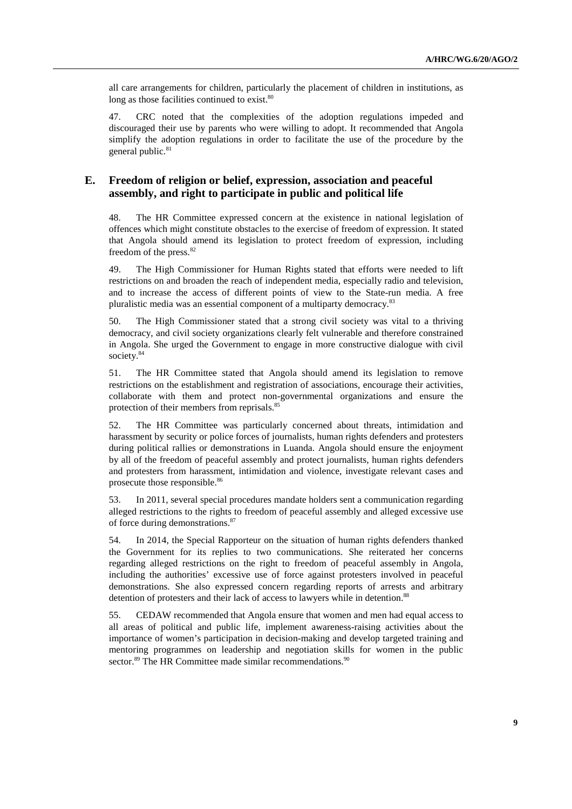all care arrangements for children, particularly the placement of children in institutions, as long as those facilities continued to exist.<sup>80</sup>

47. CRC noted that the complexities of the adoption regulations impeded and discouraged their use by parents who were willing to adopt. It recommended that Angola simplify the adoption regulations in order to facilitate the use of the procedure by the general public.<sup>81</sup>

## **E. Freedom of religion or belief, expression, association and peaceful assembly, and right to participate in public and political life**

48. The HR Committee expressed concern at the existence in national legislation of offences which might constitute obstacles to the exercise of freedom of expression. It stated that Angola should amend its legislation to protect freedom of expression, including freedom of the press. $82$ 

49. The High Commissioner for Human Rights stated that efforts were needed to lift restrictions on and broaden the reach of independent media, especially radio and television, and to increase the access of different points of view to the State-run media. A free pluralistic media was an essential component of a multiparty democracy.83

50. The High Commissioner stated that a strong civil society was vital to a thriving democracy, and civil society organizations clearly felt vulnerable and therefore constrained in Angola. She urged the Government to engage in more constructive dialogue with civil society.<sup>84</sup>

51. The HR Committee stated that Angola should amend its legislation to remove restrictions on the establishment and registration of associations, encourage their activities, collaborate with them and protect non-governmental organizations and ensure the protection of their members from reprisals.<sup>85</sup>

52. The HR Committee was particularly concerned about threats, intimidation and harassment by security or police forces of journalists, human rights defenders and protesters during political rallies or demonstrations in Luanda. Angola should ensure the enjoyment by all of the freedom of peaceful assembly and protect journalists, human rights defenders and protesters from harassment, intimidation and violence, investigate relevant cases and prosecute those responsible.<sup>86</sup>

53. In 2011, several special procedures mandate holders sent a communication regarding alleged restrictions to the rights to freedom of peaceful assembly and alleged excessive use of force during demonstrations.87

54. In 2014, the Special Rapporteur on the situation of human rights defenders thanked the Government for its replies to two communications. She reiterated her concerns regarding alleged restrictions on the right to freedom of peaceful assembly in Angola, including the authorities' excessive use of force against protesters involved in peaceful demonstrations. She also expressed concern regarding reports of arrests and arbitrary detention of protesters and their lack of access to lawyers while in detention.<sup>8</sup>

55. CEDAW recommended that Angola ensure that women and men had equal access to all areas of political and public life, implement awareness-raising activities about the importance of women's participation in decision-making and develop targeted training and mentoring programmes on leadership and negotiation skills for women in the public sector.<sup>89</sup> The HR Committee made similar recommendations.<sup>90</sup>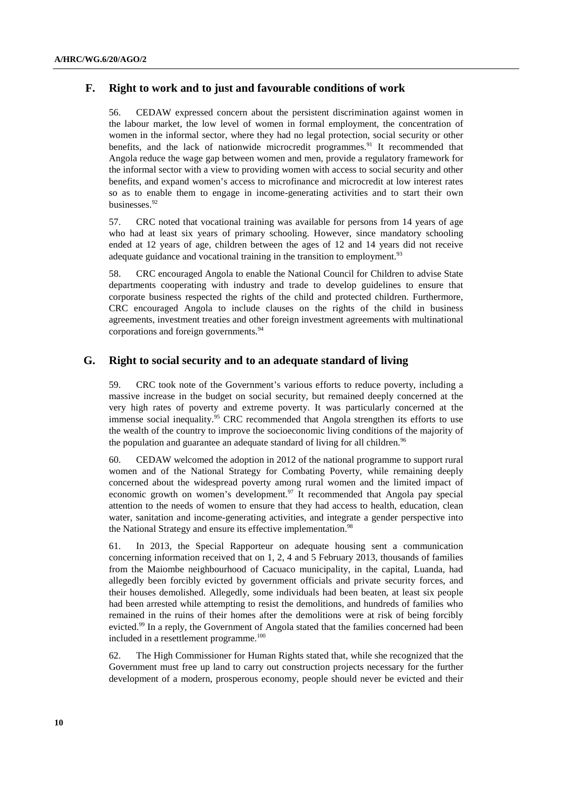## **F. Right to work and to just and favourable conditions of work**

56. CEDAW expressed concern about the persistent discrimination against women in the labour market, the low level of women in formal employment, the concentration of women in the informal sector, where they had no legal protection, social security or other benefits, and the lack of nationwide microcredit programmes.<sup>91</sup> It recommended that Angola reduce the wage gap between women and men, provide a regulatory framework for the informal sector with a view to providing women with access to social security and other benefits, and expand women's access to microfinance and microcredit at low interest rates so as to enable them to engage in income-generating activities and to start their own businesses.<sup>92</sup>

57. CRC noted that vocational training was available for persons from 14 years of age who had at least six years of primary schooling. However, since mandatory schooling ended at 12 years of age, children between the ages of 12 and 14 years did not receive adequate guidance and vocational training in the transition to employment.<sup>93</sup>

58. CRC encouraged Angola to enable the National Council for Children to advise State departments cooperating with industry and trade to develop guidelines to ensure that corporate business respected the rights of the child and protected children. Furthermore, CRC encouraged Angola to include clauses on the rights of the child in business agreements, investment treaties and other foreign investment agreements with multinational corporations and foreign governments.<sup>94</sup>

#### **G. Right to social security and to an adequate standard of living**

59. CRC took note of the Government's various efforts to reduce poverty, including a massive increase in the budget on social security, but remained deeply concerned at the very high rates of poverty and extreme poverty. It was particularly concerned at the immense social inequality.<sup>95</sup> CRC recommended that Angola strengthen its efforts to use the wealth of the country to improve the socioeconomic living conditions of the majority of the population and guarantee an adequate standard of living for all children.<sup>96</sup>

60. CEDAW welcomed the adoption in 2012 of the national programme to support rural women and of the National Strategy for Combating Poverty, while remaining deeply concerned about the widespread poverty among rural women and the limited impact of economic growth on women's development.<sup>97</sup> It recommended that Angola pay special attention to the needs of women to ensure that they had access to health, education, clean water, sanitation and income-generating activities, and integrate a gender perspective into the National Strategy and ensure its effective implementation.<sup>98</sup>

61. In 2013, the Special Rapporteur on adequate housing sent a communication concerning information received that on 1, 2, 4 and 5 February 2013, thousands of families from the Maiombe neighbourhood of Cacuaco municipality, in the capital, Luanda, had allegedly been forcibly evicted by government officials and private security forces, and their houses demolished. Allegedly, some individuals had been beaten, at least six people had been arrested while attempting to resist the demolitions, and hundreds of families who remained in the ruins of their homes after the demolitions were at risk of being forcibly evicted.<sup>99</sup> In a reply, the Government of Angola stated that the families concerned had been included in a resettlement programme.<sup>100</sup>

62. The High Commissioner for Human Rights stated that, while she recognized that the Government must free up land to carry out construction projects necessary for the further development of a modern, prosperous economy, people should never be evicted and their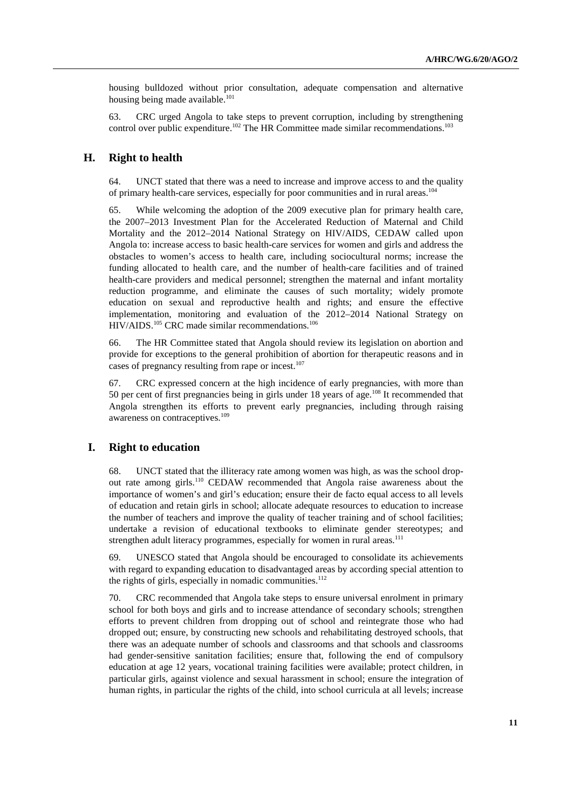housing bulldozed without prior consultation, adequate compensation and alternative housing being made available. $101$ 

63. CRC urged Angola to take steps to prevent corruption, including by strengthening control over public expenditure.<sup>102</sup> The HR Committee made similar recommendations.<sup>103</sup>

#### **H. Right to health**

64. UNCT stated that there was a need to increase and improve access to and the quality of primary health-care services, especially for poor communities and in rural areas.<sup>104</sup>

65. While welcoming the adoption of the 2009 executive plan for primary health care, the 2007–2013 Investment Plan for the Accelerated Reduction of Maternal and Child Mortality and the 2012–2014 National Strategy on HIV/AIDS, CEDAW called upon Angola to: increase access to basic health-care services for women and girls and address the obstacles to women's access to health care, including sociocultural norms; increase the funding allocated to health care, and the number of health-care facilities and of trained health-care providers and medical personnel; strengthen the maternal and infant mortality reduction programme, and eliminate the causes of such mortality; widely promote education on sexual and reproductive health and rights; and ensure the effective implementation, monitoring and evaluation of the 2012–2014 National Strategy on HIV/AIDS.<sup>105</sup> CRC made similar recommendations.<sup>106</sup>

66. The HR Committee stated that Angola should review its legislation on abortion and provide for exceptions to the general prohibition of abortion for therapeutic reasons and in cases of pregnancy resulting from rape or incest.<sup>107</sup>

67. CRC expressed concern at the high incidence of early pregnancies, with more than 50 per cent of first pregnancies being in girls under 18 years of age.<sup>108</sup> It recommended that Angola strengthen its efforts to prevent early pregnancies, including through raising awareness on contraceptives.<sup>109</sup>

### **I. Right to education**

68. UNCT stated that the illiteracy rate among women was high, as was the school dropout rate among girls.110 CEDAW recommended that Angola raise awareness about the importance of women's and girl's education; ensure their de facto equal access to all levels of education and retain girls in school; allocate adequate resources to education to increase the number of teachers and improve the quality of teacher training and of school facilities; undertake a revision of educational textbooks to eliminate gender stereotypes; and strengthen adult literacy programmes, especially for women in rural areas.<sup>111</sup>

69. UNESCO stated that Angola should be encouraged to consolidate its achievements with regard to expanding education to disadvantaged areas by according special attention to the rights of girls, especially in nomadic communities.<sup>112</sup>

70. CRC recommended that Angola take steps to ensure universal enrolment in primary school for both boys and girls and to increase attendance of secondary schools; strengthen efforts to prevent children from dropping out of school and reintegrate those who had dropped out; ensure, by constructing new schools and rehabilitating destroyed schools, that there was an adequate number of schools and classrooms and that schools and classrooms had gender-sensitive sanitation facilities; ensure that, following the end of compulsory education at age 12 years, vocational training facilities were available; protect children, in particular girls, against violence and sexual harassment in school; ensure the integration of human rights, in particular the rights of the child, into school curricula at all levels; increase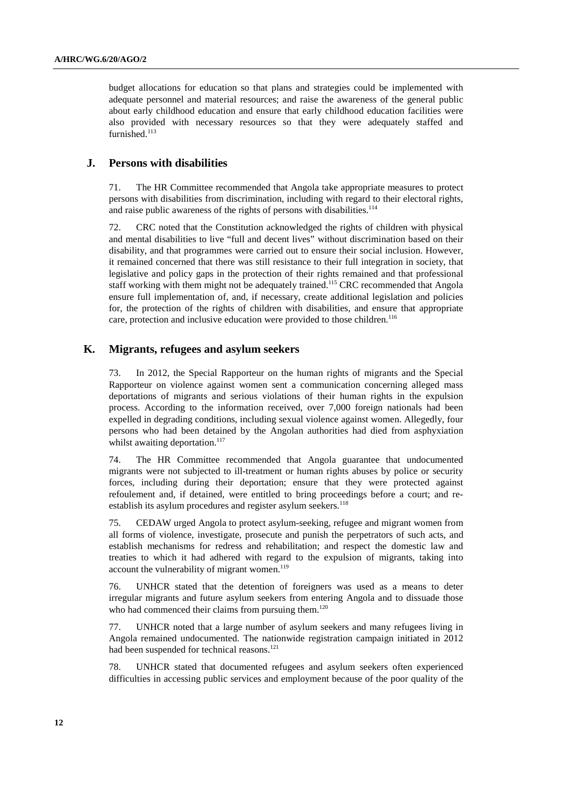budget allocations for education so that plans and strategies could be implemented with adequate personnel and material resources; and raise the awareness of the general public about early childhood education and ensure that early childhood education facilities were also provided with necessary resources so that they were adequately staffed and furnished.<sup>113</sup>

#### **J. Persons with disabilities**

71. The HR Committee recommended that Angola take appropriate measures to protect persons with disabilities from discrimination, including with regard to their electoral rights, and raise public awareness of the rights of persons with disabilities.<sup>114</sup>

72. CRC noted that the Constitution acknowledged the rights of children with physical and mental disabilities to live "full and decent lives" without discrimination based on their disability, and that programmes were carried out to ensure their social inclusion. However, it remained concerned that there was still resistance to their full integration in society, that legislative and policy gaps in the protection of their rights remained and that professional staff working with them might not be adequately trained.<sup>115</sup> CRC recommended that Angola ensure full implementation of, and, if necessary, create additional legislation and policies for, the protection of the rights of children with disabilities, and ensure that appropriate care, protection and inclusive education were provided to those children.<sup>116</sup>

### **K. Migrants, refugees and asylum seekers**

73. In 2012, the Special Rapporteur on the human rights of migrants and the Special Rapporteur on violence against women sent a communication concerning alleged mass deportations of migrants and serious violations of their human rights in the expulsion process. According to the information received, over 7,000 foreign nationals had been expelled in degrading conditions, including sexual violence against women. Allegedly, four persons who had been detained by the Angolan authorities had died from asphyxiation whilst awaiting deportation. $117$ 

74. The HR Committee recommended that Angola guarantee that undocumented migrants were not subjected to ill-treatment or human rights abuses by police or security forces, including during their deportation; ensure that they were protected against refoulement and, if detained, were entitled to bring proceedings before a court; and reestablish its asylum procedures and register asylum seekers.<sup>118</sup>

75. CEDAW urged Angola to protect asylum-seeking, refugee and migrant women from all forms of violence, investigate, prosecute and punish the perpetrators of such acts, and establish mechanisms for redress and rehabilitation; and respect the domestic law and treaties to which it had adhered with regard to the expulsion of migrants, taking into account the vulnerability of migrant women.<sup>119</sup>

76. UNHCR stated that the detention of foreigners was used as a means to deter irregular migrants and future asylum seekers from entering Angola and to dissuade those who had commenced their claims from pursuing them.<sup>120</sup>

77. UNHCR noted that a large number of asylum seekers and many refugees living in Angola remained undocumented. The nationwide registration campaign initiated in 2012 had been suspended for technical reasons.<sup>121</sup>

78. UNHCR stated that documented refugees and asylum seekers often experienced difficulties in accessing public services and employment because of the poor quality of the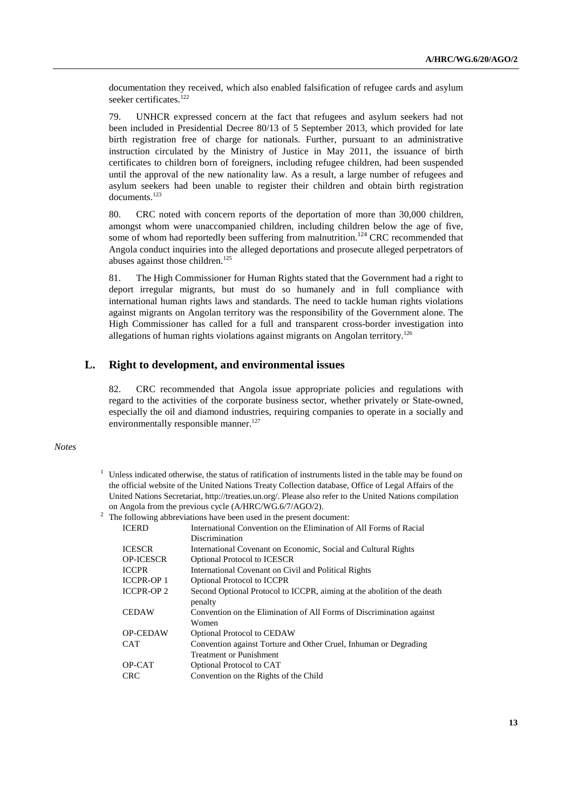documentation they received, which also enabled falsification of refugee cards and asylum seeker certificates.<sup>122</sup>

79. UNHCR expressed concern at the fact that refugees and asylum seekers had not been included in Presidential Decree 80/13 of 5 September 2013, which provided for late birth registration free of charge for nationals. Further, pursuant to an administrative instruction circulated by the Ministry of Justice in May 2011, the issuance of birth certificates to children born of foreigners, including refugee children, had been suspended until the approval of the new nationality law. As a result, a large number of refugees and asylum seekers had been unable to register their children and obtain birth registration documents.123

80. CRC noted with concern reports of the deportation of more than 30,000 children, amongst whom were unaccompanied children, including children below the age of five, some of whom had reportedly been suffering from malnutrition.<sup>124</sup> CRC recommended that Angola conduct inquiries into the alleged deportations and prosecute alleged perpetrators of abuses against those children.<sup>125</sup>

81. The High Commissioner for Human Rights stated that the Government had a right to deport irregular migrants, but must do so humanely and in full compliance with international human rights laws and standards. The need to tackle human rights violations against migrants on Angolan territory was the responsibility of the Government alone. The High Commissioner has called for a full and transparent cross-border investigation into allegations of human rights violations against migrants on Angolan territory.<sup>126</sup>

## **L. Right to development, and environmental issues**

82. CRC recommended that Angola issue appropriate policies and regulations with regard to the activities of the corporate business sector, whether privately or State-owned, especially the oil and diamond industries, requiring companies to operate in a socially and environmentally responsible manner.<sup>127</sup>

#### *Notes*

<sup>1</sup> Unless indicated otherwise, the status of ratification of instruments listed in the table may be found on the official website of the United Nations Treaty Collection database, Office of Legal Affairs of the United Nations Secretariat, http://treaties.un.org/. Please also refer to the United Nations compilation on Angola from the previous cycle (A/HRC/WG.6/7/AGO/2). 2

|                   | The following abbreviations have been used in the present document:     |
|-------------------|-------------------------------------------------------------------------|
| <b>ICERD</b>      | International Convention on the Elimination of All Forms of Racial      |
|                   | Discrimination                                                          |
| <b>ICESCR</b>     | International Covenant on Economic, Social and Cultural Rights          |
| <b>OP-ICESCR</b>  | <b>Optional Protocol to ICESCR</b>                                      |
| <b>ICCPR</b>      | International Covenant on Civil and Political Rights                    |
| <b>ICCPR-OP1</b>  | <b>Optional Protocol to ICCPR</b>                                       |
| <b>ICCPR-OP 2</b> | Second Optional Protocol to ICCPR, aiming at the abolition of the death |
|                   | penalty                                                                 |
| <b>CEDAW</b>      | Convention on the Elimination of All Forms of Discrimination against    |
|                   | Women                                                                   |
| <b>OP-CEDAW</b>   | <b>Optional Protocol to CEDAW</b>                                       |
| <b>CAT</b>        | Convention against Torture and Other Cruel, Inhuman or Degrading        |
|                   | <b>Treatment or Punishment</b>                                          |
| OP-CAT            | Optional Protocol to CAT                                                |
| CRC               | Convention on the Rights of the Child                                   |
|                   |                                                                         |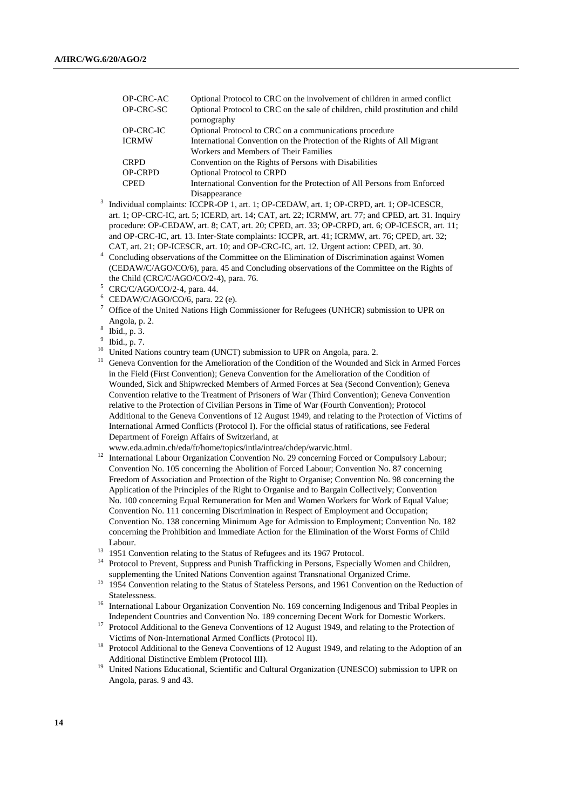| OP-CRC-AC      | Optional Protocol to CRC on the involvement of children in armed conflict      |
|----------------|--------------------------------------------------------------------------------|
| OP-CRC-SC      | Optional Protocol to CRC on the sale of children, child prostitution and child |
|                | pornography                                                                    |
| OP-CRC-IC      | Optional Protocol to CRC on a communications procedure                         |
| <b>ICRMW</b>   | International Convention on the Protection of the Rights of All Migrant        |
|                | Workers and Members of Their Families                                          |
| <b>CRPD</b>    | Convention on the Rights of Persons with Disabilities                          |
| <b>OP-CRPD</b> | <b>Optional Protocol to CRPD</b>                                               |
| <b>CPED</b>    | International Convention for the Protection of All Persons from Enforced       |
|                | Disannearance                                                                  |

- Disappearance<br>
<sup>3</sup> Individual complaints: ICCPR-OP 1, art. 1; OP-CEDAW, art. 1; OP-CRPD, art. 1; OP-ICESCR, art. 1; OP-CRC-IC, art. 5; ICERD, art. 14; CAT, art. 22; ICRMW, art. 77; and CPED, art. 31. Inquiry procedure: OP-CEDAW, art. 8; CAT, art. 20; CPED, art. 33; OP-CRPD, art. 6; OP-ICESCR, art. 11; and OP-CRC-IC, art. 13. Inter-State complaints: ICCPR, art. 41; ICRMW, art. 76; CPED, art. 32; CAT, art. 21; OP-ICESCR, art. 10; and OP-CRC-IC, art. 12. Urgent action: CPED, art. 30. 4
- Concluding observations of the Committee on the Elimination of Discrimination against Women (CEDAW/C/AGO/CO/6), para. 45 and Concluding observations of the Committee on the Rights of the Child (CRC/C/AGO/CO/2-4), para. 76.
- $5$  CRC/C/AGO/CO/2-4, para. 44.
- 6 CEDAW/C/AGO/CO/6, para. 22 (e).
- 7 Office of the United Nations High Commissioner for Refugees (UNHCR) submission to UPR on Angola, p. 2. 8
- Ibid., p. 3.
- 9 Ibid., p. 7.
- <sup>10</sup> United Nations country team (UNCT) submission to UPR on Angola, para. 2.
- <sup>11</sup> Geneva Convention for the Amelioration of the Condition of the Wounded and Sick in Armed Forces in the Field (First Convention); Geneva Convention for the Amelioration of the Condition of Wounded, Sick and Shipwrecked Members of Armed Forces at Sea (Second Convention); Geneva Convention relative to the Treatment of Prisoners of War (Third Convention); Geneva Convention relative to the Protection of Civilian Persons in Time of War (Fourth Convention); Protocol Additional to the Geneva Conventions of 12 August 1949, and relating to the Protection of Victims of International Armed Conflicts (Protocol I). For the official status of ratifications, see Federal Department of Foreign Affairs of Switzerland, at
	-
- www.eda.admin.ch/eda/fr/home/topics/intla/intrea/chdep/warvic.html. 12 International Labour Organization Convention No. 29 concerning Forced or Compulsory Labour; Convention No. 105 concerning the Abolition of Forced Labour; Convention No. 87 concerning Freedom of Association and Protection of the Right to Organise; Convention No. 98 concerning the Application of the Principles of the Right to Organise and to Bargain Collectively; Convention No. 100 concerning Equal Remuneration for Men and Women Workers for Work of Equal Value; Convention No. 111 concerning Discrimination in Respect of Employment and Occupation; Convention No. 138 concerning Minimum Age for Admission to Employment; Convention No. 182 concerning the Prohibition and Immediate Action for the Elimination of the Worst Forms of Child Labour.<br>
<sup>13</sup> 1951 Convention relating to the Status of Refugees and its 1967 Protocol.<br>
<sup>14</sup> Protocol.<br>
<sup>14</sup> Protocol.
- 
- 14 Protocol to Prevent, Suppress and Punish Trafficking in Persons, Especially Women and Children,
- supplementing the United Nations Convention against Transnational Organized Crime. 15 1954 Convention relating to the Status of Stateless Persons, and 1961 Convention on the Reduction of Statelessness. 16 International Labour Organization Convention No. 169 concerning Indigenous and Tribal Peoples in
- 
- Independent Countries and Convention No. 189 concerning Decent Work for Domestic Workers.<br><sup>17</sup> Protocol Additional to the Geneva Conventions of 12 August 1949, and relating to the Protection of Victims of Non-International
- <sup>18</sup> Protocol Additional to the Geneva Conventions of 12 August 1949, and relating to the Adoption of an Additional Distinctive Emblem (Protocol III).<br><sup>19</sup> United Nations Educational, Scientific and Cultural Organization (UNESCO) submission to UPR on
- Angola, paras. 9 and 43.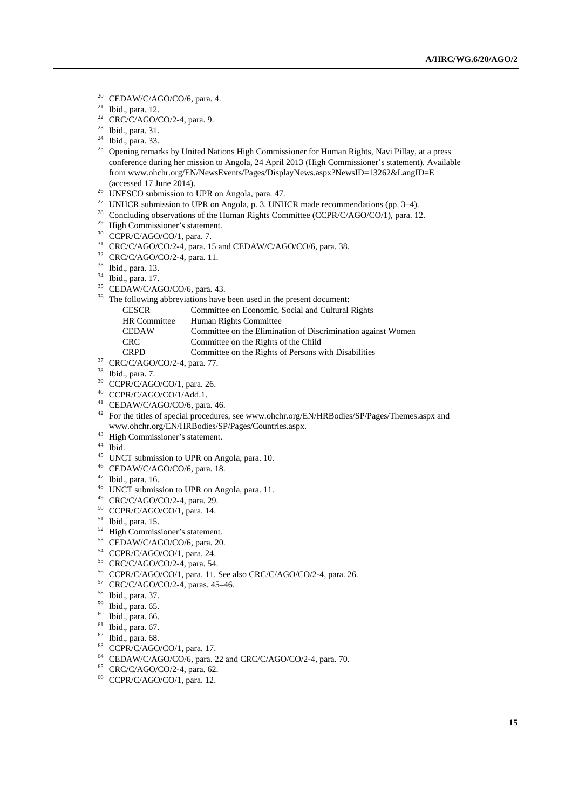- 20 CEDAW/C/AGO/CO/6, para. 4.
- 21 Ibid., para. 12.
- $22$  CRC/C/AGO/CO/2-4, para. 9.
- 23 Ibid., para. 31.
- $24$  Ibid., para. 33.
- <sup>25</sup> Opening remarks by United Nations High Commissioner for Human Rights, Navi Pillay, at a press conference during her mission to Angola, 24 April 2013 (High Commissioner's statement). Available from www.ohchr.org/EN/NewsEvents/Pages/DisplayNews.aspx?NewsID=13262&LangID=E (accessed 17 June 2014). 26 UNESCO submission to UPR on Angola, para. 47.
- 
- <sup>27</sup> UNHCR submission to UPR on Angola, p. 3. UNHCR made recommendations (pp. 3–4).
- <sup>28</sup> Concluding observations of the Human Rights Committee (CCPR/C/AGO/CO/1), para. 12.
- 29 High Commissioner's statement.
- 30 CCPR/C/AGO/CO/1, para. 7.
- <sup>31</sup> CRC/C/AGO/CO/2-4, para. 15 and CEDAW/C/AGO/CO/6, para. 38.
- 32 CRC/C/AGO/CO/2-4, para. 11.
- 33 Ibid., para. 13.
- 34 Ibid., para. 17.
- 35 CEDAW/C/AGO/CO/6, para. 43.
- <sup>36</sup> The following abbreviations have been used in the present document:
	- CESCR Committee on Economic, Social and Cultural Rights
	- HR Committee Human Rights Committee
	- CEDAW Committee on the Elimination of Discrimination against Women
	-
	- CRC Committee on the Rights of the Child<br>
	CRPD Committee on the Rights of Persons with Disabilities
- CRPD Commit<br>
<sup>37</sup> CRC/C/AGO/CO/2-4, para. 77.<br>
<sup>38</sup> Thid nors <sup>7</sup>
- Ibid., para. 7.
- $39$  CCPR/C/AGO/CO/1, para. 26.
- 40 CCPR/C/AGO/CO/1/Add.1.
- 41 CEDAW/C/AGO/CO/6, para. 46.
- <sup>42</sup> For the titles of special procedures, see www.ohchr.org/EN/HRBodies/SP/Pages/Themes.aspx and www.ohchr.org/EN/HRBodies/SP/Pages/Countries.aspx.
- <sup>43</sup> High Commissioner's statement.
- 44 Ibid.
- 45 UNCT submission to UPR on Angola, para. 10.
- 46 CEDAW/C/AGO/CO/6, para. 18.
- 47 Ibid., para. 16.
- <sup>48</sup> UNCT submission to UPR on Angola, para. 11.
- 49 CRC/C/AGO/CO/2-4, para. 29.
- 50 CCPR/C/AGO/CO/1, para. 14.
- 51 Ibid., para. 15.
- 52 High Commissioner's statement.
- 53 CEDAW/C/AGO/CO/6, para. 20.
- 54 CCPR/C/AGO/CO/1, para. 24.
- 55 CRC/C/AGO/CO/2-4, para. 54.
- 56 CCPR/C/AGO/CO/1, para. 11. See also CRC/C/AGO/CO/2-4, para. 26.
- 57 CRC/C/AGO/CO/2-4, paras. 45–46.
- 58 Ibid., para. 37.
- 59 Ibid., para. 65.
- 60 Ibid., para. 66.
- 61 Ibid., para. 67.
- $62$  Ibid., para. 68.
- 63 CCPR/C/AGO/CO/1, para. 17.
- 64 CEDAW/C/AGO/CO/6, para. 22 and CRC/C/AGO/CO/2-4, para. 70.
- 65 CRC/C/AGO/CO/2-4, para. 62.
- 66 CCPR/C/AGO/CO/1, para. 12.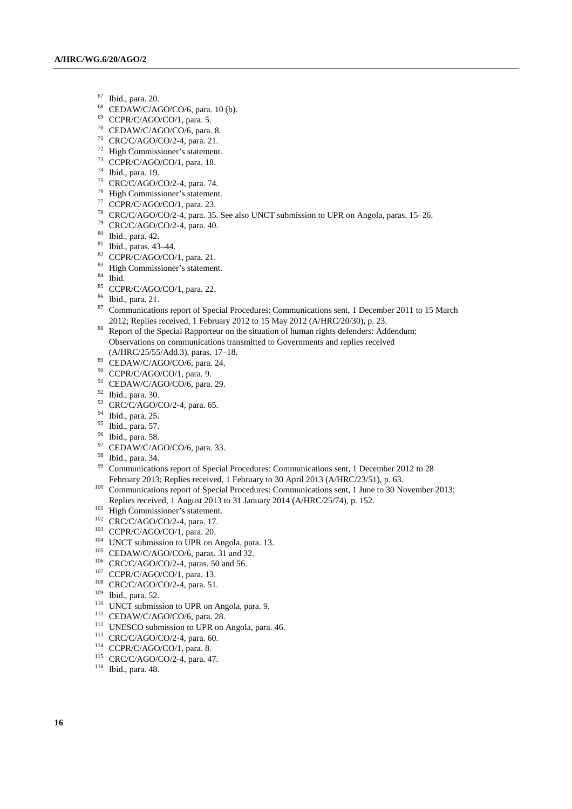- $^{67}$  Ibid., para. 20.
- CEDAW/C/AGO/CO/6, para. 10 (b).
- 69 CCPR/C/AGO/CO/1, para. 5.
- 70 CEDAW/C/AGO/CO/6, para. 8.
- 71 CRC/C/AGO/CO/2-4, para. 21.
- 72 High Commissioner's statement.
- 73 CCPR/C/AGO/CO/1, para. 18.
- 74 Ibid., para. 19.
- 75 CRC/C/AGO/CO/2-4, para. 74.
- 76 High Commissioner's statement.
- $77$  CCPR/C/AGO/CO/1, para. 23.
- 78 CRC/C/AGO/CO/2-4, para. 35. See also UNCT submission to UPR on Angola, paras. 15–26.
- 79 CRC/C/AGO/CO/2-4, para. 40.
- 80 Ibid., para. 42.
- 81 Ibid., paras. 43–44.
- $82$  CCPR/C/AGO/CO/1, para. 21.
- 83 High Commissioner's statement.
- 84 Ibid.
- 85 CCPR/C/AGO/CO/1, para. 22.
- 86 Ibid., para. 21.
- 87 Communications report of Special Procedures: Communications sent, 1 December 2011 to 15 March
- 2012; Replies received, 1 February 2012 to 15 May 2012 (A/HRC/20/30), p. 23. 88 Report of the Special Rapporteur on the situation of human rights defenders: Addendum: Observations on communications transmitted to Governments and replies received (A/HRC/25/55/Add.3), paras. 17–18. 89 CEDAW/C/AGO/CO/6, para. 24.
- 
- 90 CCPR/C/AGO/CO/1, para. 9.
- <sup>91</sup> CEDAW/C/AGO/CO/6, para. 29.
- $^{92}$  Ibid., para. 30.
- CRC/C/AGO/CO/2-4, para. 65.
- 94 Ibid., para. 25.
- 95 Ibid., para. 57.
- 96 Ibid., para. 58.
- 97 CEDAW/C/AGO/CO/6, para. 33.
- $^{98}$  Ibid., para. 34.
- 99 Communications report of Special Procedures: Communications sent, 1 December 2012 to 28 February 2013; Replies received, 1 February to 30 April 2013 (A/HRC/23/51), p. 63. 100 Communications report of Special Procedures: Communications sent, 1 June to 30 November 2013;
- Replies received, 1 August 2013 to 31 January 2014 (A/HRC/25/74), p. 152.<br>
101 High Commissioner's statement.<br>
102 CCPR/C/AGO/CO/2-4, para. 17.<br>
103 CCPR/C/AGO/CO/1, para. 20.<br>
104 UNCT submission to UPR on Angola, para. 1
- 
- 
- 
- 
- 
- 
- 
- 
- 
- 
- 
- 
- 
- 
- 
-